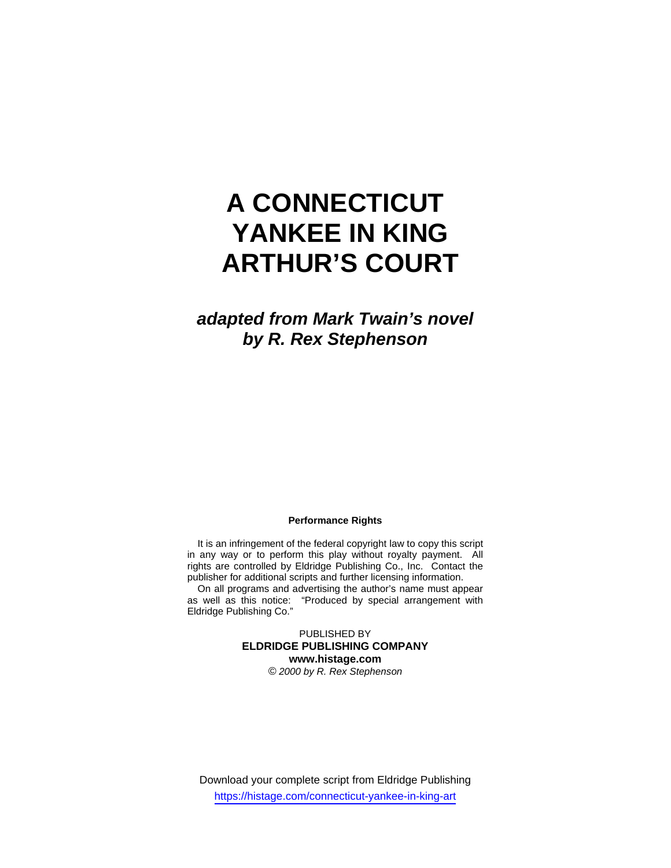# **A CONNECTICUT YANKEE IN KING ARTHUR'S COURT**

*adapted from Mark Twain's novel by R. Rex Stephenson* 

#### **Performance Rights**

It is an infringement of the federal copyright law to copy this script in any way or to perform this play without royalty payment. All rights are controlled by Eldridge Publishing Co., Inc. Contact the publisher for additional scripts and further licensing information.

On all programs and advertising the author's name must appear as well as this notice: "Produced by special arrangement with Eldridge Publishing Co."

> PUBLISHED BY **ELDRIDGE PUBLISHING COMPANY www.histage.com**  *© 2000 by R. Rex Stephenson*

Download your complete script from Eldridge Publishing https://histage.com/connecticut-yankee-in-king-art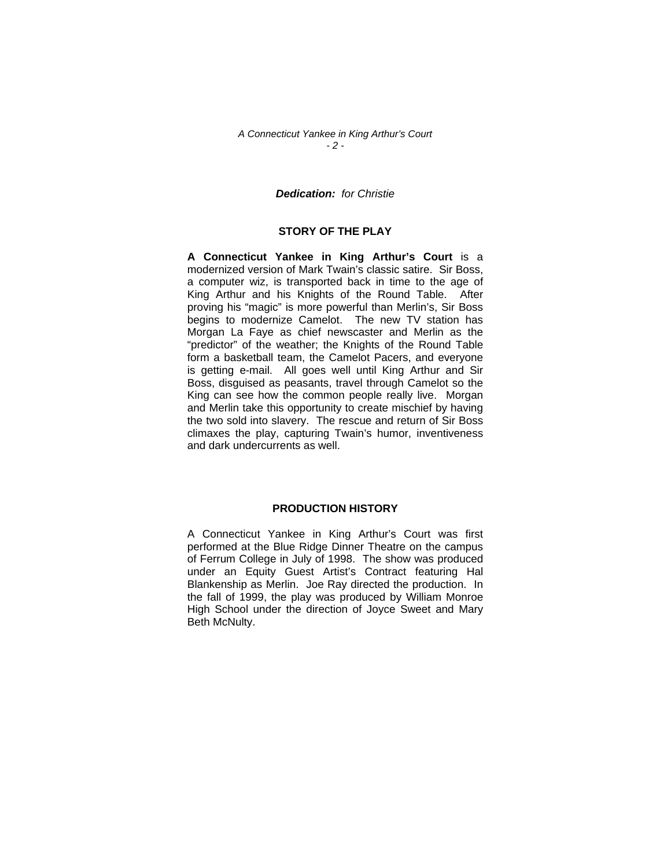### *A Connecticut Yankee in King Arthur's Court - 2 -*

# *Dedication: for Christie*

# **STORY OF THE PLAY**

**A Connecticut Yankee in King Arthur's Court** is a modernized version of Mark Twain's classic satire. Sir Boss, a computer wiz, is transported back in time to the age of King Arthur and his Knights of the Round Table. After proving his "magic" is more powerful than Merlin's, Sir Boss begins to modernize Camelot. The new TV station has Morgan La Faye as chief newscaster and Merlin as the "predictor" of the weather; the Knights of the Round Table form a basketball team, the Camelot Pacers, and everyone is getting e-mail. All goes well until King Arthur and Sir Boss, disguised as peasants, travel through Camelot so the King can see how the common people really live. Morgan and Merlin take this opportunity to create mischief by having the two sold into slavery. The rescue and return of Sir Boss climaxes the play, capturing Twain's humor, inventiveness and dark undercurrents as well.

## **PRODUCTION HISTORY**

A Connecticut Yankee in King Arthur's Court was first performed at the Blue Ridge Dinner Theatre on the campus of Ferrum College in July of 1998. The show was produced under an Equity Guest Artist's Contract featuring Hal Blankenship as Merlin. Joe Ray directed the production. In the fall of 1999, the play was produced by William Monroe High School under the direction of Joyce Sweet and Mary Beth McNulty.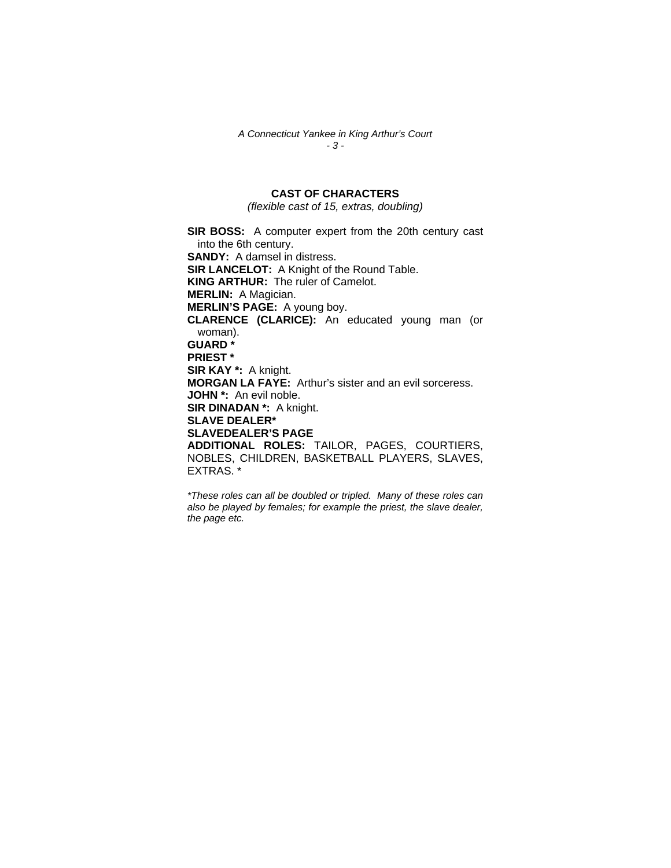*A Connecticut Yankee in King Arthur's Court - 3 -* 

# **CAST OF CHARACTERS**

*(flexible cast of 15, extras, doubling)* 

**SIR BOSS:** A computer expert from the 20th century cast into the 6th century. **SANDY:** A damsel in distress. **SIR LANCELOT:** A Knight of the Round Table. **KING ARTHUR:** The ruler of Camelot. **MERLIN:** A Magician. **MERLIN'S PAGE:** A young boy. **CLARENCE (CLARICE):** An educated young man (or woman). **GUARD \* PRIEST \* SIR KAY \*:** A knight. **MORGAN LA FAYE:** Arthur's sister and an evil sorceress. **JOHN \*:** An evil noble. **SIR DINADAN \*:** A knight. **SLAVE DEALER\* SLAVEDEALER'S PAGE ADDITIONAL ROLES:** TAILOR, PAGES, COURTIERS, NOBLES, CHILDREN, BASKETBALL PLAYERS, SLAVES, EXTRAS. \*

*\*These roles can all be doubled or tripled. Many of these roles can also be played by females; for example the priest, the slave dealer, the page etc.*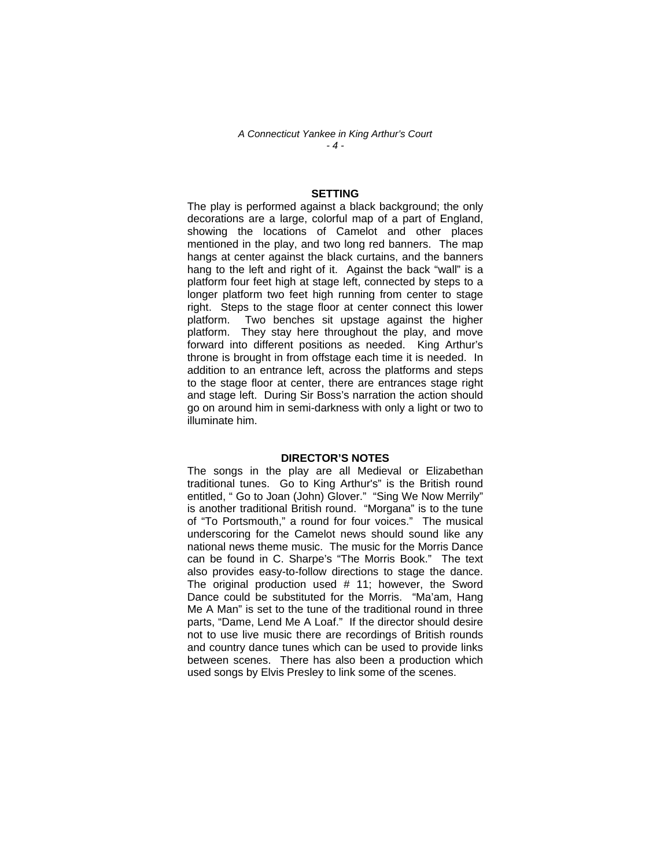*A Connecticut Yankee in King Arthur's Court - 4 -* 

#### **SETTING**

The play is performed against a black background; the only decorations are a large, colorful map of a part of England, showing the locations of Camelot and other places mentioned in the play, and two long red banners. The map hangs at center against the black curtains, and the banners hang to the left and right of it. Against the back "wall" is a platform four feet high at stage left, connected by steps to a longer platform two feet high running from center to stage right. Steps to the stage floor at center connect this lower platform. Two benches sit upstage against the higher platform. They stay here throughout the play, and move forward into different positions as needed. King Arthur's throne is brought in from offstage each time it is needed. In addition to an entrance left, across the platforms and steps to the stage floor at center, there are entrances stage right and stage left. During Sir Boss's narration the action should go on around him in semi-darkness with only a light or two to illuminate him.

#### **DIRECTOR'S NOTES**

The songs in the play are all Medieval or Elizabethan traditional tunes. Go to King Arthur's" is the British round entitled, " Go to Joan (John) Glover." "Sing We Now Merrily" is another traditional British round. "Morgana" is to the tune of "To Portsmouth," a round for four voices." The musical underscoring for the Camelot news should sound like any national news theme music. The music for the Morris Dance can be found in C. Sharpe's "The Morris Book." The text also provides easy-to-follow directions to stage the dance. The original production used # 11; however, the Sword Dance could be substituted for the Morris. "Ma'am, Hang Me A Man" is set to the tune of the traditional round in three parts, "Dame, Lend Me A Loaf." If the director should desire not to use live music there are recordings of British rounds and country dance tunes which can be used to provide links between scenes. There has also been a production which used songs by Elvis Presley to link some of the scenes.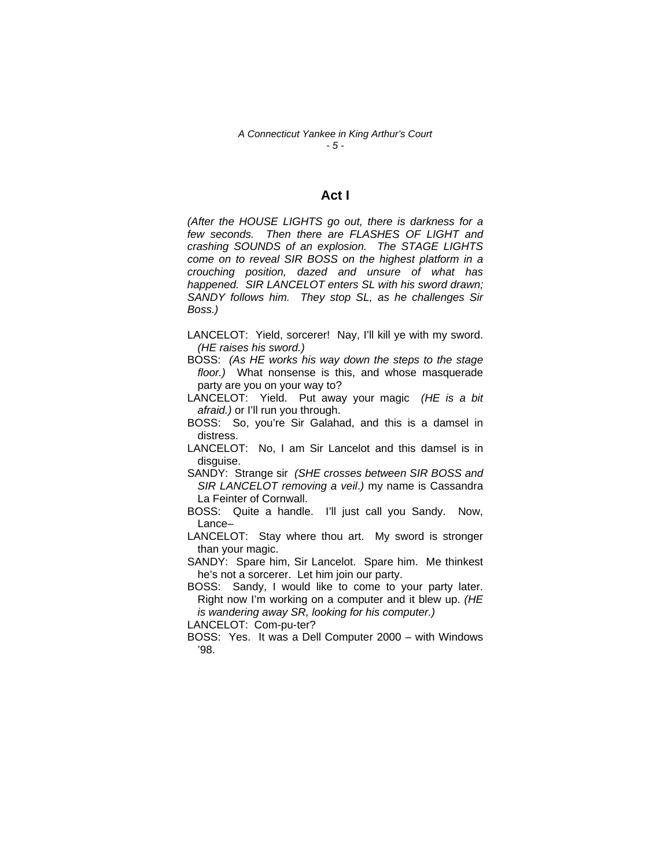#### *A Connecticut Yankee in King Arthur's Court - 5 -*

## **Act I**

*(After the HOUSE LIGHTS go out, there is darkness for a few seconds. Then there are FLASHES OF LIGHT and crashing SOUNDS of an explosion. The STAGE LIGHTS come on to reveal SIR BOSS on the highest platform in a crouching position, dazed and unsure of what has happened. SIR LANCELOT enters SL with his sword drawn; SANDY follows him. They stop SL, as he challenges Sir Boss.)* 

LANCELOT: Yield, sorcerer! Nay, I'll kill ye with my sword. *(HE raises his sword.)*

BOSS: *(As HE works his way down the steps to the stage floor.)* What nonsense is this, and whose masquerade party are you on your way to?

LANCELOT: Yield. Put away your magic *(HE is a bit afraid.)* or I'll run you through.

- BOSS: So, you're Sir Galahad, and this is a damsel in distress.
- LANCELOT: No, I am Sir Lancelot and this damsel is in disguise.

SANDY: Strange sir *(SHE crosses between SIR BOSS and SIR LANCELOT removing a veil*.*)* my name is Cassandra La Feinter of Cornwall.

- BOSS: Quite a handle. I'll just call you Sandy. Now, Lance–
- LANCELOT: Stay where thou art. My sword is stronger than your magic.

SANDY: Spare him, Sir Lancelot. Spare him. Me thinkest he's not a sorcerer. Let him join our party.

BOSS: Sandy, I would like to come to your party later. Right now I'm working on a computer and it blew up. *(HE is wandering away SR, looking for his computer.)* 

LANCELOT: Com-pu-ter?

BOSS: Yes. It was a Dell Computer 2000 – with Windows '98.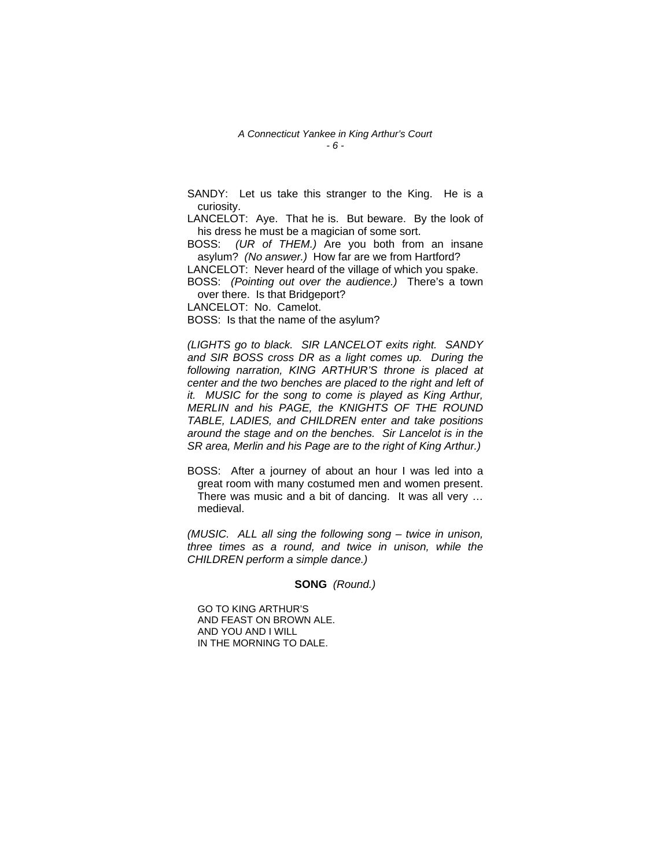#### *A Connecticut Yankee in King Arthur's Court - 6 -*

SANDY: Let us take this stranger to the King. He is a curiosity.

LANCELOT: Aye. That he is. But beware. By the look of his dress he must be a magician of some sort.

BOSS: *(UR of THEM.)* Are you both from an insane asylum? *(No answer.)* How far are we from Hartford?

LANCELOT: Never heard of the village of which you spake.

BOSS: *(Pointing out over the audience.)* There's a town over there. Is that Bridgeport?

LANCELOT: No. Camelot.

BOSS: Is that the name of the asylum?

*(LIGHTS go to black. SIR LANCELOT exits right. SANDY and SIR BOSS cross DR as a light comes up. During the following narration, KING ARTHUR'S throne is placed at center and the two benches are placed to the right and left of it. MUSIC for the song to come is played as King Arthur, MERLIN and his PAGE, the KNIGHTS OF THE ROUND TABLE, LADIES, and CHILDREN enter and take positions around the stage and on the benches. Sir Lancelot is in the SR area, Merlin and his Page are to the right of King Arthur.)* 

BOSS: After a journey of about an hour I was led into a great room with many costumed men and women present. There was music and a bit of dancing. It was all very … medieval.

*(MUSIC. ALL all sing the following song – twice in unison, three times as a round, and twice in unison, while the CHILDREN perform a simple dance.)* 

**SONG** *(Round.)* 

GO TO KING ARTHUR'S AND FEAST ON BROWN ALE. AND YOU AND I WILL IN THE MORNING TO DALE.